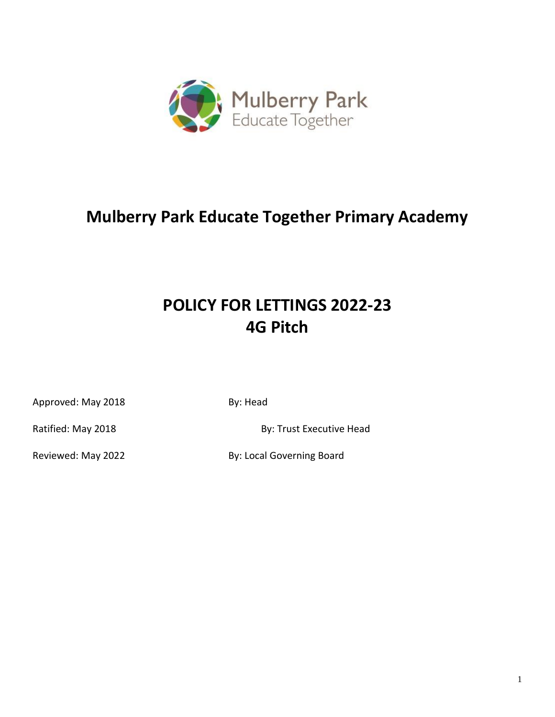

# **Mulberry Park Educate Together Primary Academy**

# **POLICY FOR LETTINGS 2022-23 4G Pitch**

Approved: May 2018 **By: Head** 

Ratified: May 2018 **By: Trust Executive Head** 

Reviewed: May 2022 **By: Local Governing Board**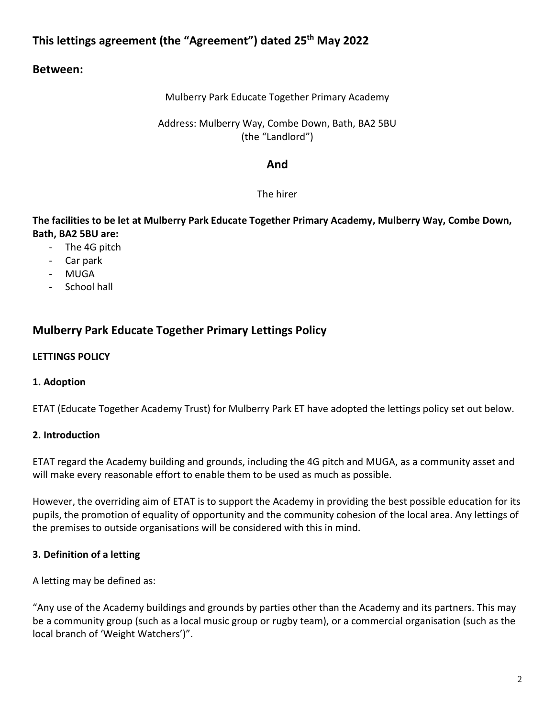# **This lettings agreement (the "Agreement") dated 25th May 2022**

## **Between:**

### Mulberry Park Educate Together Primary Academy

### Address: Mulberry Way, Combe Down, Bath, BA2 5BU (the "Landlord")

## **And**

## The hirer

## **The facilities to be let at Mulberry Park Educate Together Primary Academy, Mulberry Way, Combe Down, Bath, BA2 5BU are:**

- The 4G pitch
- Car park
- MUGA
- School hall

## **Mulberry Park Educate Together Primary Lettings Policy**

### **LETTINGS POLICY**

## **1. Adoption**

ETAT (Educate Together Academy Trust) for Mulberry Park ET have adopted the lettings policy set out below.

## **2. Introduction**

ETAT regard the Academy building and grounds, including the 4G pitch and MUGA, as a community asset and will make every reasonable effort to enable them to be used as much as possible.

However, the overriding aim of ETAT is to support the Academy in providing the best possible education for its pupils, the promotion of equality of opportunity and the community cohesion of the local area. Any lettings of the premises to outside organisations will be considered with this in mind.

## **3. Definition of a letting**

A letting may be defined as:

"Any use of the Academy buildings and grounds by parties other than the Academy and its partners. This may be a community group (such as a local music group or rugby team), or a commercial organisation (such as the local branch of 'Weight Watchers')".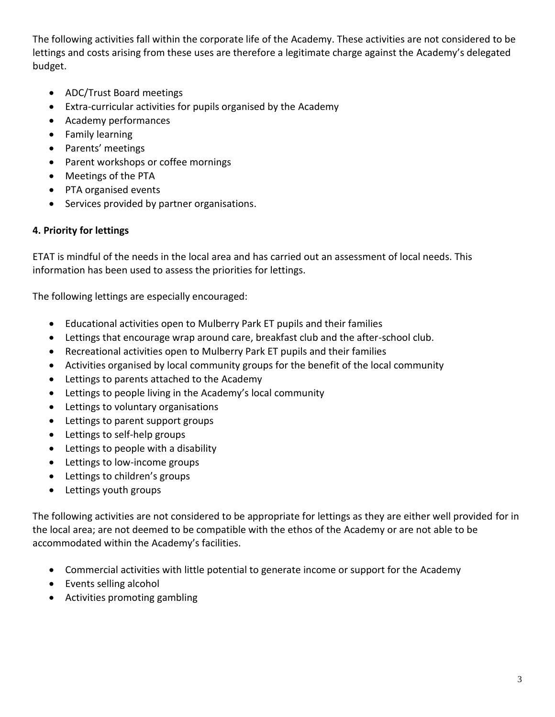The following activities fall within the corporate life of the Academy. These activities are not considered to be lettings and costs arising from these uses are therefore a legitimate charge against the Academy's delegated budget.

- ADC/Trust Board meetings
- Extra-curricular activities for pupils organised by the Academy
- Academy performances
- Family learning
- Parents' meetings
- Parent workshops or coffee mornings
- Meetings of the PTA
- PTA organised events
- Services provided by partner organisations.

## **4. Priority for lettings**

ETAT is mindful of the needs in the local area and has carried out an assessment of local needs. This information has been used to assess the priorities for lettings.

The following lettings are especially encouraged:

- Educational activities open to Mulberry Park ET pupils and their families
- Lettings that encourage wrap around care, breakfast club and the after-school club.
- Recreational activities open to Mulberry Park ET pupils and their families
- Activities organised by local community groups for the benefit of the local community
- Lettings to parents attached to the Academy
- Lettings to people living in the Academy's local community
- Lettings to voluntary organisations
- Lettings to parent support groups
- Lettings to self-help groups
- Lettings to people with a disability
- Lettings to low-income groups
- Lettings to children's groups
- Lettings youth groups

The following activities are not considered to be appropriate for lettings as they are either well provided for in the local area; are not deemed to be compatible with the ethos of the Academy or are not able to be accommodated within the Academy's facilities.

- Commercial activities with little potential to generate income or support for the Academy
- Events selling alcohol
- Activities promoting gambling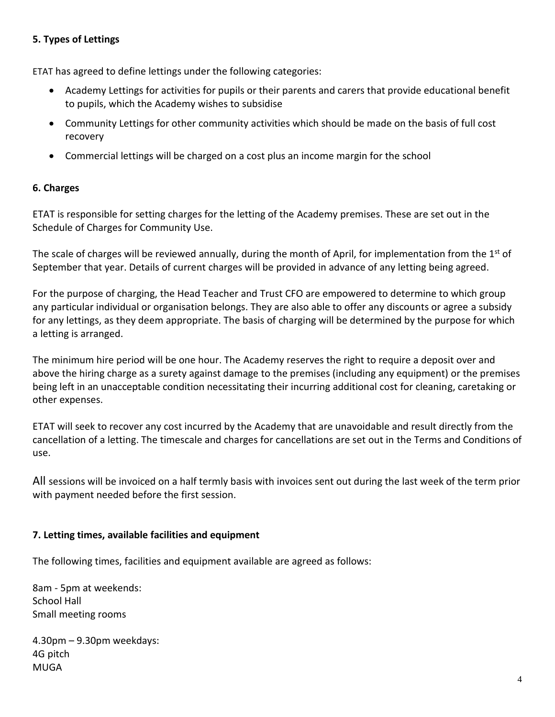## **5. Types of Lettings**

ETAT has agreed to define lettings under the following categories:

- Academy Lettings for activities for pupils or their parents and carers that provide educational benefit to pupils, which the Academy wishes to subsidise
- Community Lettings for other community activities which should be made on the basis of full cost recovery
- Commercial lettings will be charged on a cost plus an income margin for the school

## **6. Charges**

ETAT is responsible for setting charges for the letting of the Academy premises. These are set out in the Schedule of Charges for Community Use.

The scale of charges will be reviewed annually, during the month of April, for implementation from the 1<sup>st</sup> of September that year. Details of current charges will be provided in advance of any letting being agreed.

For the purpose of charging, the Head Teacher and Trust CFO are empowered to determine to which group any particular individual or organisation belongs. They are also able to offer any discounts or agree a subsidy for any lettings, as they deem appropriate. The basis of charging will be determined by the purpose for which a letting is arranged.

The minimum hire period will be one hour. The Academy reserves the right to require a deposit over and above the hiring charge as a surety against damage to the premises (including any equipment) or the premises being left in an unacceptable condition necessitating their incurring additional cost for cleaning, caretaking or other expenses.

ETAT will seek to recover any cost incurred by the Academy that are unavoidable and result directly from the cancellation of a letting. The timescale and charges for cancellations are set out in the Terms and Conditions of use.

All sessions will be invoiced on a half termly basis with invoices sent out during the last week of the term prior with payment needed before the first session.

## **7. Letting times, available facilities and equipment**

The following times, facilities and equipment available are agreed as follows:

8am - 5pm at weekends: School Hall Small meeting rooms

4.30pm – 9.30pm weekdays: 4G pitch MUGA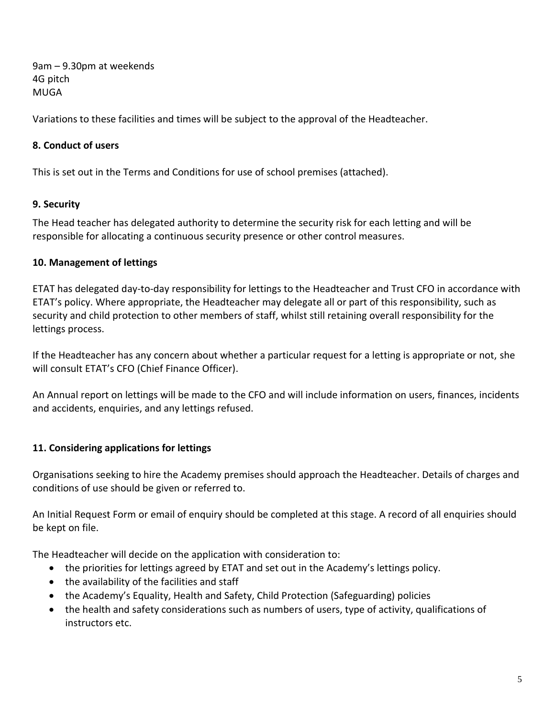9am – 9.30pm at weekends 4G pitch MUGA

Variations to these facilities and times will be subject to the approval of the Headteacher.

## **8. Conduct of users**

This is set out in the Terms and Conditions for use of school premises (attached).

## **9. Security**

The Head teacher has delegated authority to determine the security risk for each letting and will be responsible for allocating a continuous security presence or other control measures.

## **10. Management of lettings**

ETAT has delegated day-to-day responsibility for lettings to the Headteacher and Trust CFO in accordance with ETAT's policy. Where appropriate, the Headteacher may delegate all or part of this responsibility, such as security and child protection to other members of staff, whilst still retaining overall responsibility for the lettings process.

If the Headteacher has any concern about whether a particular request for a letting is appropriate or not, she will consult ETAT's CFO (Chief Finance Officer).

An Annual report on lettings will be made to the CFO and will include information on users, finances, incidents and accidents, enquiries, and any lettings refused.

## **11. Considering applications for lettings**

Organisations seeking to hire the Academy premises should approach the Headteacher. Details of charges and conditions of use should be given or referred to.

An Initial Request Form or email of enquiry should be completed at this stage. A record of all enquiries should be kept on file.

The Headteacher will decide on the application with consideration to:

- the priorities for lettings agreed by ETAT and set out in the Academy's lettings policy.
- the availability of the facilities and staff
- the Academy's Equality, Health and Safety, Child Protection (Safeguarding) policies
- the health and safety considerations such as numbers of users, type of activity, qualifications of instructors etc.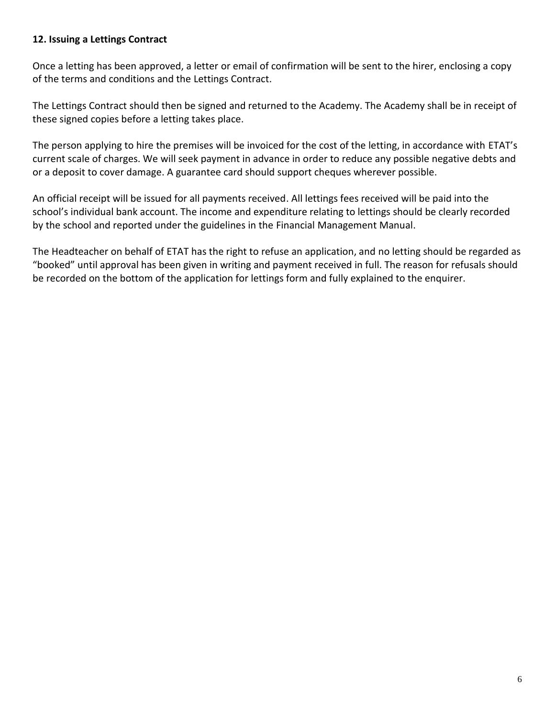### **12. Issuing a Lettings Contract**

Once a letting has been approved, a letter or email of confirmation will be sent to the hirer, enclosing a copy of the terms and conditions and the Lettings Contract.

The Lettings Contract should then be signed and returned to the Academy. The Academy shall be in receipt of these signed copies before a letting takes place.

The person applying to hire the premises will be invoiced for the cost of the letting, in accordance with ETAT's current scale of charges. We will seek payment in advance in order to reduce any possible negative debts and or a deposit to cover damage. A guarantee card should support cheques wherever possible.

An official receipt will be issued for all payments received. All lettings fees received will be paid into the school's individual bank account. The income and expenditure relating to lettings should be clearly recorded by the school and reported under the guidelines in the Financial Management Manual.

The Headteacher on behalf of ETAT has the right to refuse an application, and no letting should be regarded as "booked" until approval has been given in writing and payment received in full. The reason for refusals should be recorded on the bottom of the application for lettings form and fully explained to the enquirer.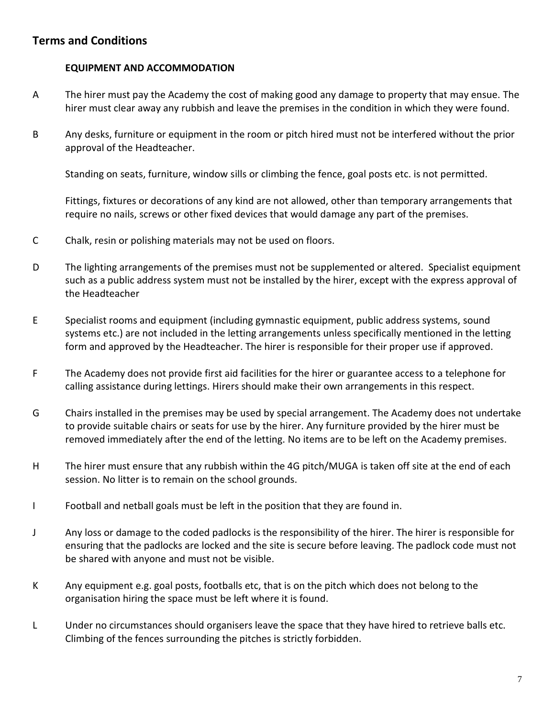## **Terms and Conditions**

### **EQUIPMENT AND ACCOMMODATION**

- A The hirer must pay the Academy the cost of making good any damage to property that may ensue. The hirer must clear away any rubbish and leave the premises in the condition in which they were found.
- B Any desks, furniture or equipment in the room or pitch hired must not be interfered without the prior approval of the Headteacher.

Standing on seats, furniture, window sills or climbing the fence, goal posts etc. is not permitted.

Fittings, fixtures or decorations of any kind are not allowed, other than temporary arrangements that require no nails, screws or other fixed devices that would damage any part of the premises.

- C Chalk, resin or polishing materials may not be used on floors.
- D The lighting arrangements of the premises must not be supplemented or altered. Specialist equipment such as a public address system must not be installed by the hirer, except with the express approval of the Headteacher
- E Specialist rooms and equipment (including gymnastic equipment, public address systems, sound systems etc.) are not included in the letting arrangements unless specifically mentioned in the letting form and approved by the Headteacher. The hirer is responsible for their proper use if approved.
- F The Academy does not provide first aid facilities for the hirer or guarantee access to a telephone for calling assistance during lettings. Hirers should make their own arrangements in this respect.
- G Chairs installed in the premises may be used by special arrangement. The Academy does not undertake to provide suitable chairs or seats for use by the hirer. Any furniture provided by the hirer must be removed immediately after the end of the letting. No items are to be left on the Academy premises.
- H The hirer must ensure that any rubbish within the 4G pitch/MUGA is taken off site at the end of each session. No litter is to remain on the school grounds.
- I Football and netball goals must be left in the position that they are found in.
- J Any loss or damage to the coded padlocks is the responsibility of the hirer. The hirer is responsible for ensuring that the padlocks are locked and the site is secure before leaving. The padlock code must not be shared with anyone and must not be visible.
- K Any equipment e.g. goal posts, footballs etc, that is on the pitch which does not belong to the organisation hiring the space must be left where it is found.
- L Under no circumstances should organisers leave the space that they have hired to retrieve balls etc. Climbing of the fences surrounding the pitches is strictly forbidden.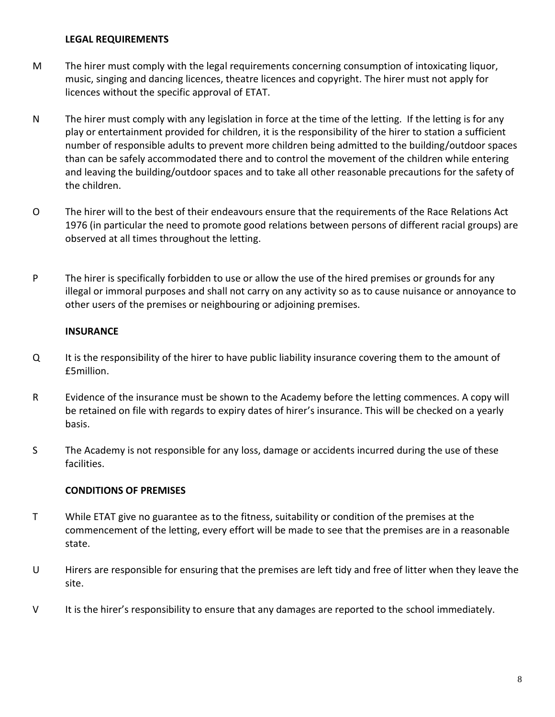### **LEGAL REQUIREMENTS**

- M The hirer must comply with the legal requirements concerning consumption of intoxicating liquor, music, singing and dancing licences, theatre licences and copyright. The hirer must not apply for licences without the specific approval of ETAT.
- N The hirer must comply with any legislation in force at the time of the letting. If the letting is for any play or entertainment provided for children, it is the responsibility of the hirer to station a sufficient number of responsible adults to prevent more children being admitted to the building/outdoor spaces than can be safely accommodated there and to control the movement of the children while entering and leaving the building/outdoor spaces and to take all other reasonable precautions for the safety of the children.
- O The hirer will to the best of their endeavours ensure that the requirements of the Race Relations Act 1976 (in particular the need to promote good relations between persons of different racial groups) are observed at all times throughout the letting.
- P The hirer is specifically forbidden to use or allow the use of the hired premises or grounds for any illegal or immoral purposes and shall not carry on any activity so as to cause nuisance or annoyance to other users of the premises or neighbouring or adjoining premises.

## **INSURANCE**

- Q It is the responsibility of the hirer to have public liability insurance covering them to the amount of £5million.
- R Evidence of the insurance must be shown to the Academy before the letting commences. A copy will be retained on file with regards to expiry dates of hirer's insurance. This will be checked on a yearly basis.
- S The Academy is not responsible for any loss, damage or accidents incurred during the use of these facilities.

## **CONDITIONS OF PREMISES**

- T While ETAT give no guarantee as to the fitness, suitability or condition of the premises at the commencement of the letting, every effort will be made to see that the premises are in a reasonable state.
- U Hirers are responsible for ensuring that the premises are left tidy and free of litter when they leave the site.
- V It is the hirer's responsibility to ensure that any damages are reported to the school immediately.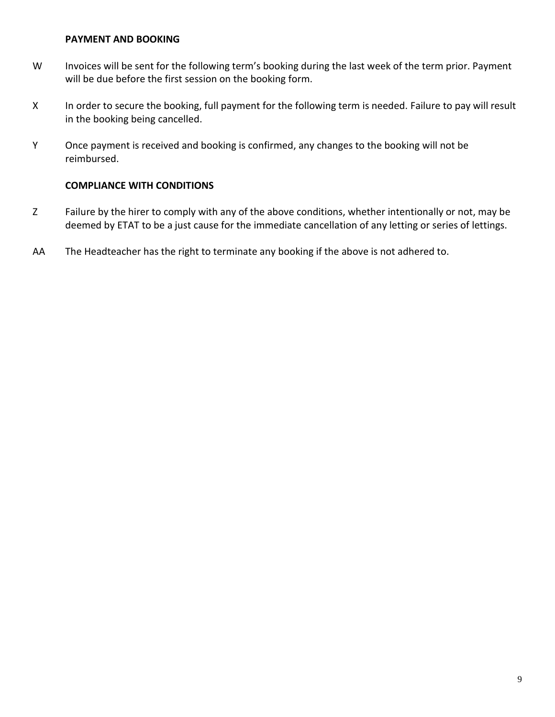#### **PAYMENT AND BOOKING**

- W Invoices will be sent for the following term's booking during the last week of the term prior. Payment will be due before the first session on the booking form.
- X In order to secure the booking, full payment for the following term is needed. Failure to pay will result in the booking being cancelled.
- Y Once payment is received and booking is confirmed, any changes to the booking will not be reimbursed.

#### **COMPLIANCE WITH CONDITIONS**

- Z Failure by the hirer to comply with any of the above conditions, whether intentionally or not, may be deemed by ETAT to be a just cause for the immediate cancellation of any letting or series of lettings.
- AA The Headteacher has the right to terminate any booking if the above is not adhered to.